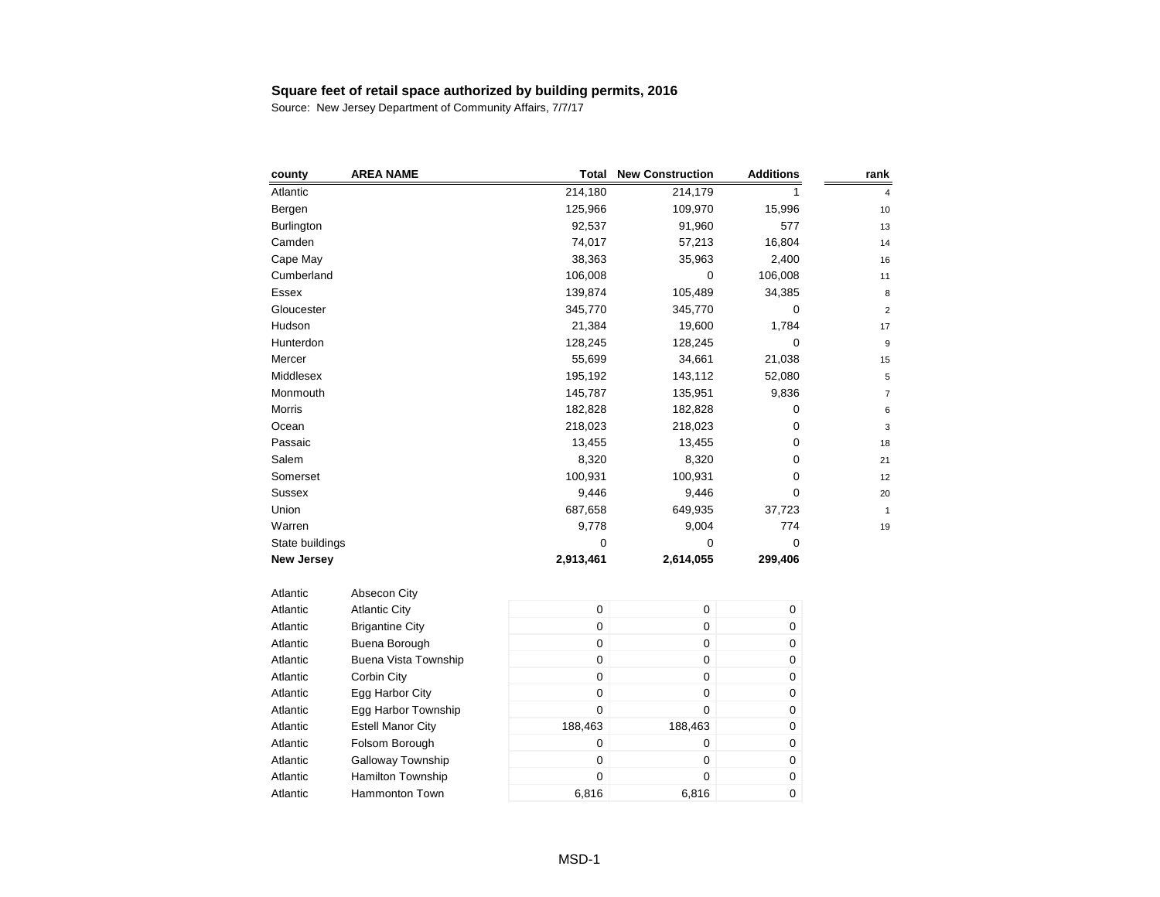Source: New Jersey Department of Community Affairs, 7/7/17

| county            | <b>AREA NAME</b>         | Total            | <b>New Construction</b> | <b>Additions</b> | rank                    |
|-------------------|--------------------------|------------------|-------------------------|------------------|-------------------------|
| Atlantic          |                          | 214,180          | 214,179                 | 1                | 4                       |
| Bergen            |                          | 125,966          | 109,970                 | 15,996           | 10                      |
| Burlington        |                          | 92,537           | 91,960                  | 577              | 13                      |
| Camden            |                          | 74,017           | 57,213                  | 16,804           | 14                      |
| Cape May          |                          | 38,363           | 35,963                  | 2,400            | 16                      |
| Cumberland        |                          | 106,008          | 0                       | 106,008          | 11                      |
| Essex             |                          | 139,874          | 105,489                 | 34,385           | 8                       |
| Gloucester        |                          | 345,770          | 345,770                 | 0                | $\overline{\mathbf{c}}$ |
| Hudson            |                          | 21,384           | 19,600                  | 1,784            | 17                      |
| Hunterdon         |                          | 128,245          | 128,245                 | 0                | 9                       |
| Mercer            |                          | 55,699           | 34,661                  | 21,038           | 15                      |
| Middlesex         |                          | 195,192          | 143,112                 | 52,080           | 5                       |
| Monmouth          |                          | 145,787          | 135,951                 | 9,836            | $\overline{7}$          |
| Morris            |                          | 182,828          | 182,828                 | 0                | 6                       |
| Ocean             |                          | 218,023          | 218,023                 | 0                | 3                       |
| Passaic           |                          | 13,455           | 13,455                  | 0                | 18                      |
| Salem             |                          | 8,320            | 8,320                   | 0                | 21                      |
| Somerset          |                          | 100,931          | 100,931                 | 0                | 12                      |
| Sussex            |                          | 9,446            | 9,446                   | $\Omega$         | 20                      |
| Union             |                          | 687,658          | 649,935                 | 37,723           | $\mathbf{1}$            |
| Warren            |                          | 9,778            | 9,004                   | 774              | 19                      |
| State buildings   |                          | 0                | 0                       | 0                |                         |
| <b>New Jersey</b> |                          | 2,913,461        | 2,614,055               | 299,406          |                         |
| Atlantic          | Absecon City             |                  |                         |                  |                         |
| Atlantic          | <b>Atlantic City</b>     | $\boldsymbol{0}$ | 0                       | $\mathbf 0$      |                         |
| Atlantic          | <b>Brigantine City</b>   | $\boldsymbol{0}$ | 0                       | 0                |                         |
| Atlantic          | Buena Borough            | $\boldsymbol{0}$ | 0                       | 0                |                         |
| Atlantic          | Buena Vista Township     | $\boldsymbol{0}$ | 0                       | 0                |                         |
| Atlantic          | Corbin City              | $\boldsymbol{0}$ | 0                       | 0                |                         |
| Atlantic          | Egg Harbor City          | $\boldsymbol{0}$ | 0                       | 0                |                         |
| Atlantic          | Egg Harbor Township      | $\mathbf 0$      | $\mathbf 0$             | 0                |                         |
| Atlantic          | <b>Estell Manor City</b> | 188,463          | 188,463                 | 0                |                         |
| Atlantic          | Folsom Borough           | $\boldsymbol{0}$ | 0                       | 0                |                         |
| Atlantic          | Galloway Township        | $\pmb{0}$        | 0                       | 0                |                         |
| Atlantic          | <b>Hamilton Township</b> | $\boldsymbol{0}$ | 0                       | 0                |                         |

Atlantic Hammonton Town 6,816 6,816 6,816 0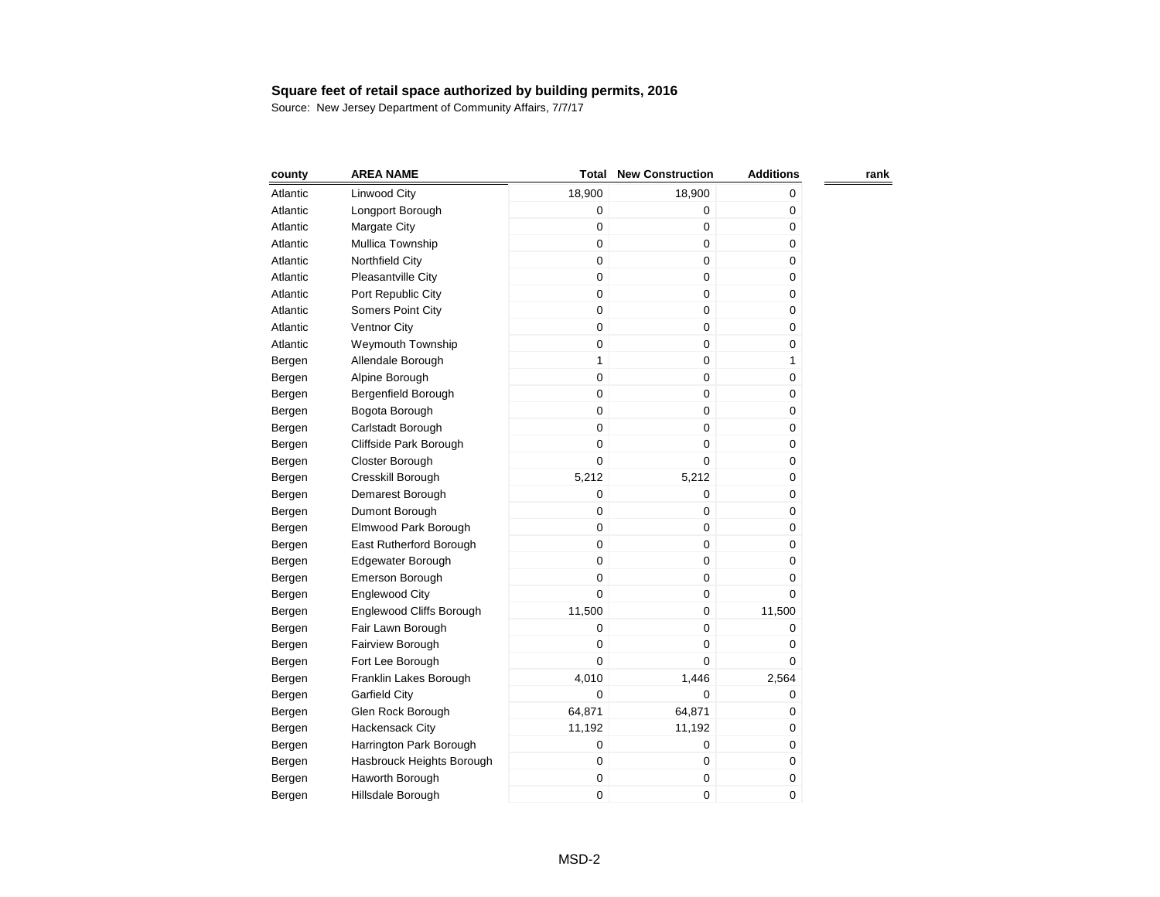| county   | <b>AREA NAME</b>          | Total            | <b>New Construction</b> | <b>Additions</b> | rank |
|----------|---------------------------|------------------|-------------------------|------------------|------|
| Atlantic | Linwood City              | 18,900           | 18,900                  | 0                |      |
| Atlantic | Longport Borough          | $\boldsymbol{0}$ | 0                       | 0                |      |
| Atlantic | Margate City              | 0                | 0                       | $\pmb{0}$        |      |
| Atlantic | Mullica Township          | $\mathbf 0$      | 0                       | 0                |      |
| Atlantic | Northfield City           | $\mathbf 0$      | 0                       | 0                |      |
| Atlantic | Pleasantville City        | $\mathbf 0$      | 0                       | 0                |      |
| Atlantic | Port Republic City        | $\mathsf 0$      | 0                       | 0                |      |
| Atlantic | Somers Point City         | $\mathbf 0$      | 0                       | 0                |      |
| Atlantic | Ventnor City              | $\mathbf 0$      | 0                       | 0                |      |
| Atlantic | <b>Weymouth Township</b>  | $\mathbf 0$      | 0                       | 0                |      |
| Bergen   | Allendale Borough         | $\mathbf{1}$     | 0                       | $\mathbf{1}$     |      |
| Bergen   | Alpine Borough            | $\mathbf 0$      | 0                       | 0                |      |
| Bergen   | Bergenfield Borough       | $\mathbf 0$      | 0                       | 0                |      |
| Bergen   | Bogota Borough            | 0                | 0                       | 0                |      |
| Bergen   | Carlstadt Borough         | $\mathbf 0$      | 0                       | 0                |      |
| Bergen   | Cliffside Park Borough    | 0                | 0                       | 0                |      |
| Bergen   | Closter Borough           | 0                | 0                       | 0                |      |
| Bergen   | Cresskill Borough         | 5,212            | 5,212                   | 0                |      |
| Bergen   | Demarest Borough          | 0                | 0                       | 0                |      |
| Bergen   | Dumont Borough            | 0                | 0                       | 0                |      |
| Bergen   | Elmwood Park Borough      | 0                | 0                       | 0                |      |
| Bergen   | East Rutherford Borough   | $\mathbf 0$      | 0                       | 0                |      |
| Bergen   | Edgewater Borough         | $\mathbf 0$      | 0                       | 0                |      |
| Bergen   | Emerson Borough           | 0                | 0                       | 0                |      |
| Bergen   | <b>Englewood City</b>     | 0                | 0                       | 0                |      |
| Bergen   | Englewood Cliffs Borough  | 11,500           | 0                       | 11,500           |      |
| Bergen   | Fair Lawn Borough         | 0                | 0                       | 0                |      |
| Bergen   | Fairview Borough          | 0                | 0                       | 0                |      |
| Bergen   | Fort Lee Borough          | 0                | 0                       | 0                |      |
| Bergen   | Franklin Lakes Borough    | 4,010            | 1,446                   | 2,564            |      |
| Bergen   | <b>Garfield City</b>      | 0                | 0                       | 0                |      |
| Bergen   | Glen Rock Borough         | 64,871           | 64,871                  | 0                |      |
| Bergen   | Hackensack City           | 11,192           | 11,192                  | 0                |      |
| Bergen   | Harrington Park Borough   | 0                | 0                       | 0                |      |
| Bergen   | Hasbrouck Heights Borough | 0                | 0                       | 0                |      |
| Bergen   | Haworth Borough           | 0                | 0                       | 0                |      |
| Bergen   | Hillsdale Borough         | 0                | 0                       | 0                |      |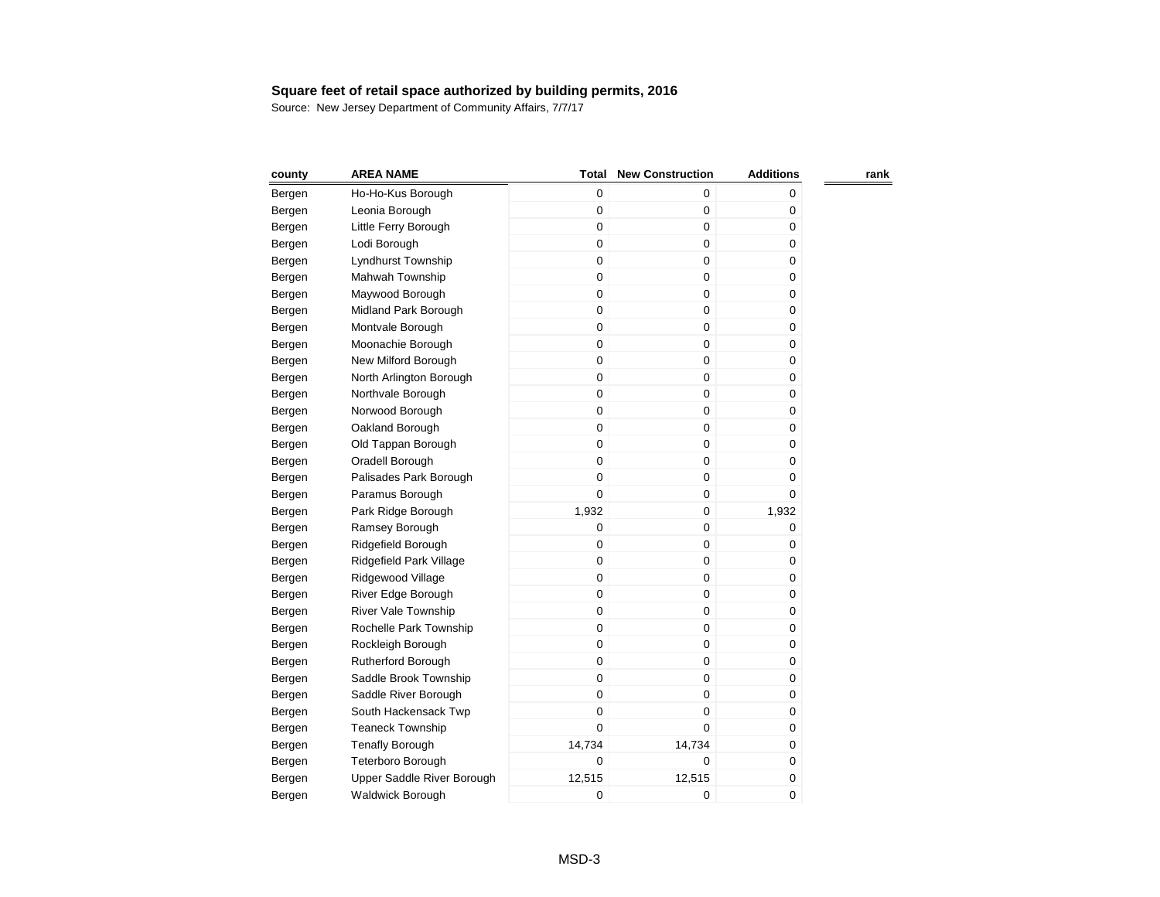| county | <b>AREA NAME</b>           | Total       | <b>New Construction</b> | <b>Additions</b> | rank |
|--------|----------------------------|-------------|-------------------------|------------------|------|
| Bergen | Ho-Ho-Kus Borough          | 0           | 0                       | 0                |      |
| Bergen | Leonia Borough             | 0           | 0                       | 0                |      |
| Bergen | Little Ferry Borough       | 0           | 0                       | 0                |      |
| Bergen | Lodi Borough               | 0           | 0                       | 0                |      |
| Bergen | Lyndhurst Township         | 0           | 0                       | 0                |      |
| Bergen | Mahwah Township            | $\mathbf 0$ | 0                       | 0                |      |
| Bergen | Maywood Borough            | 0           | 0                       | 0                |      |
| Bergen | Midland Park Borough       | 0           | 0                       | 0                |      |
| Bergen | Montvale Borough           | $\mathbf 0$ | 0                       | 0                |      |
| Bergen | Moonachie Borough          | $\mathbf 0$ | 0                       | 0                |      |
| Bergen | New Milford Borough        | $\mathbf 0$ | 0                       | 0                |      |
| Bergen | North Arlington Borough    | $\mathbf 0$ | 0                       | 0                |      |
| Bergen | Northvale Borough          | $\mathbf 0$ | 0                       | 0                |      |
| Bergen | Norwood Borough            | 0           | 0                       | 0                |      |
| Bergen | Oakland Borough            | $\mathbf 0$ | 0                       | 0                |      |
| Bergen | Old Tappan Borough         | 0           | 0                       | 0                |      |
| Bergen | Oradell Borough            | 0           | 0                       | 0                |      |
| Bergen | Palisades Park Borough     | $\mathbf 0$ | 0                       | 0                |      |
| Bergen | Paramus Borough            | $\mathbf 0$ | 0                       | 0                |      |
| Bergen | Park Ridge Borough         | 1,932       | 0                       | 1,932            |      |
| Bergen | Ramsey Borough             | 0           | 0                       | 0                |      |
| Bergen | Ridgefield Borough         | $\mathbf 0$ | 0                       | 0                |      |
| Bergen | Ridgefield Park Village    | $\mathbf 0$ | 0                       | 0                |      |
| Bergen | Ridgewood Village          | 0           | 0                       | 0                |      |
| Bergen | River Edge Borough         | 0           | 0                       | 0                |      |
| Bergen | River Vale Township        | 0           | 0                       | 0                |      |
| Bergen | Rochelle Park Township     | 0           | 0                       | 0                |      |
| Bergen | Rockleigh Borough          | 0           | 0                       | 0                |      |
| Bergen | Rutherford Borough         | 0           | 0                       | 0                |      |
| Bergen | Saddle Brook Township      | 0           | 0                       | 0                |      |
| Bergen | Saddle River Borough       | 0           | 0                       | 0                |      |
| Bergen | South Hackensack Twp       | 0           | 0                       | 0                |      |
| Bergen | <b>Teaneck Township</b>    | 0           | 0                       | 0                |      |
| Bergen | <b>Tenafly Borough</b>     | 14,734      | 14,734                  | 0                |      |
| Bergen | Teterboro Borough          | 0           | 0                       | 0                |      |
| Bergen | Upper Saddle River Borough | 12,515      | 12,515                  | 0                |      |
| Bergen | <b>Waldwick Borough</b>    | 0           | 0                       | 0                |      |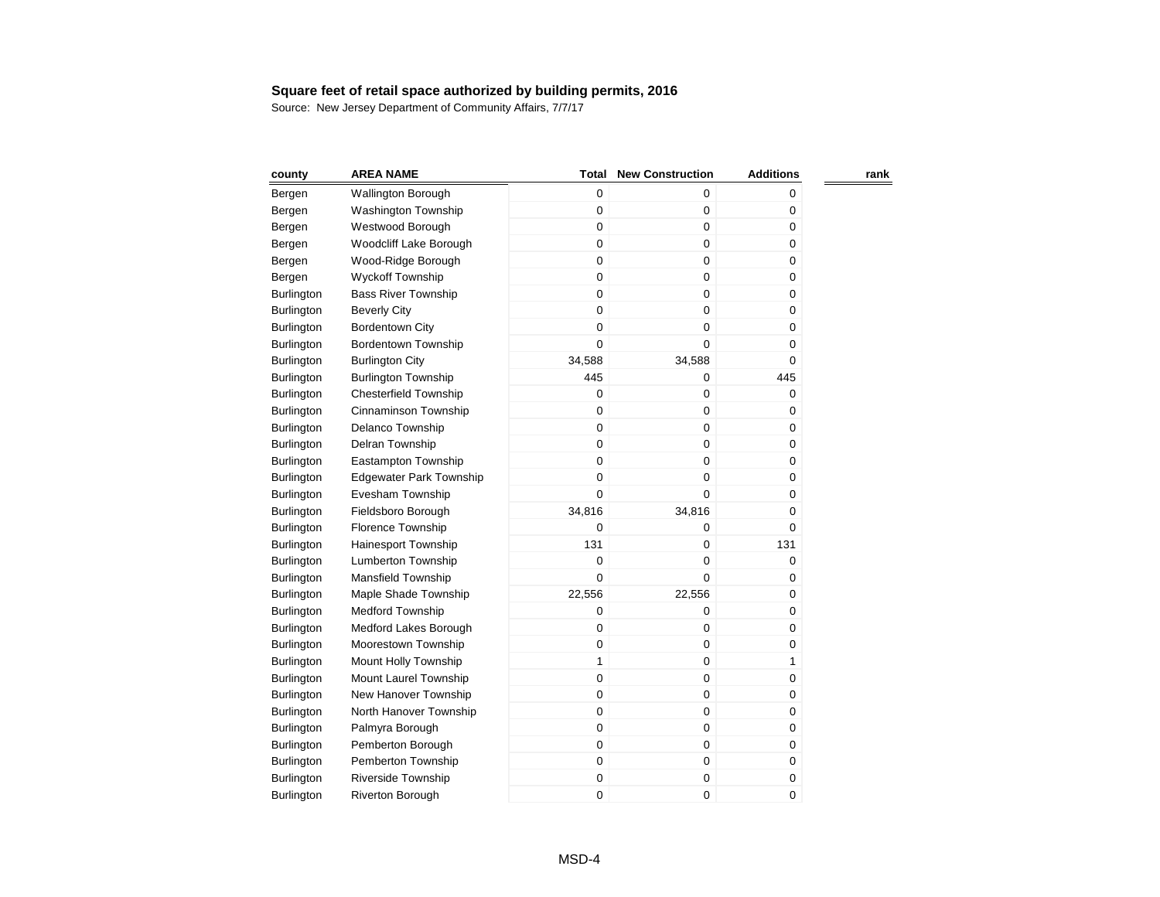| county            | <b>AREA NAME</b>               | Total        | <b>New Construction</b> | <b>Additions</b> | rank |
|-------------------|--------------------------------|--------------|-------------------------|------------------|------|
| Bergen            | <b>Wallington Borough</b>      | $\mathbf 0$  | $\pmb{0}$               | 0                |      |
| Bergen            | <b>Washington Township</b>     | 0            | $\pmb{0}$               | 0                |      |
| Bergen            | Westwood Borough               | 0            | $\pmb{0}$               | 0                |      |
| Bergen            | Woodcliff Lake Borough         | 0            | $\pmb{0}$               | 0                |      |
| Bergen            | Wood-Ridge Borough             | 0            | $\mathbf 0$             | 0                |      |
| Bergen            | <b>Wyckoff Township</b>        | 0            | $\mathbf 0$             | 0                |      |
| Burlington        | <b>Bass River Township</b>     | 0            | $\mathbf 0$             | 0                |      |
| Burlington        | <b>Beverly City</b>            | 0            | $\mathbf 0$             | 0                |      |
| <b>Burlington</b> | <b>Bordentown City</b>         | 0            | $\pmb{0}$               | 0                |      |
| <b>Burlington</b> | Bordentown Township            | 0            | $\mathbf 0$             | 0                |      |
| <b>Burlington</b> | <b>Burlington City</b>         | 34,588       | 34,588                  | 0                |      |
| <b>Burlington</b> | <b>Burlington Township</b>     | 445          | $\pmb{0}$               | 445              |      |
| <b>Burlington</b> | <b>Chesterfield Township</b>   | $\mathbf 0$  | $\mathbf 0$             | 0                |      |
| Burlington        | Cinnaminson Township           | 0            | $\mathbf 0$             | 0                |      |
| Burlington        | Delanco Township               | $\mathbf 0$  | $\mathbf 0$             | 0                |      |
| Burlington        | Delran Township                | $\mathbf 0$  | $\mathbf 0$             | 0                |      |
| <b>Burlington</b> | Eastampton Township            | $\mathbf 0$  | $\mathbf 0$             | 0                |      |
| Burlington        | <b>Edgewater Park Township</b> | $\mathbf 0$  | $\mathbf 0$             | 0                |      |
| <b>Burlington</b> | Evesham Township               | $\mathbf 0$  | $\mathbf 0$             | 0                |      |
| <b>Burlington</b> | Fieldsboro Borough             | 34,816       | 34,816                  | 0                |      |
| Burlington        | Florence Township              | 0            | $\mathbf 0$             | 0                |      |
| <b>Burlington</b> | <b>Hainesport Township</b>     | 131          | $\mathbf 0$             | 131              |      |
| <b>Burlington</b> | <b>Lumberton Township</b>      | 0            | $\mathbf 0$             | 0                |      |
| <b>Burlington</b> | Mansfield Township             | 0            | $\mathbf 0$             | 0                |      |
| <b>Burlington</b> | Maple Shade Township           | 22,556       | 22,556                  | 0                |      |
| <b>Burlington</b> | <b>Medford Township</b>        | 0            | $\mathbf 0$             | 0                |      |
| Burlington        | Medford Lakes Borough          | 0            | $\mathbf 0$             | 0                |      |
| <b>Burlington</b> | Moorestown Township            | $\mathbf 0$  | $\mathbf 0$             | 0                |      |
| <b>Burlington</b> | Mount Holly Township           | $\mathbf{1}$ | $\pmb{0}$               | 1                |      |
| <b>Burlington</b> | Mount Laurel Township          | $\mathbf 0$  | $\pmb{0}$               | 0                |      |
| Burlington        | New Hanover Township           | 0            | $\pmb{0}$               | 0                |      |
| Burlington        | North Hanover Township         | $\mathbf 0$  | $\mathbf 0$             | 0                |      |
| Burlington        | Palmyra Borough                | $\mathbf 0$  | $\mathbf 0$             | 0                |      |
| <b>Burlington</b> | Pemberton Borough              | 0            | $\pmb{0}$               | 0                |      |
| <b>Burlington</b> | Pemberton Township             | 0            | $\boldsymbol{0}$        | 0                |      |
| Burlington        | Riverside Township             | 0            | $\boldsymbol{0}$        | 0                |      |
| <b>Burlington</b> | <b>Riverton Borough</b>        | 0            | $\mathbf 0$             | 0                |      |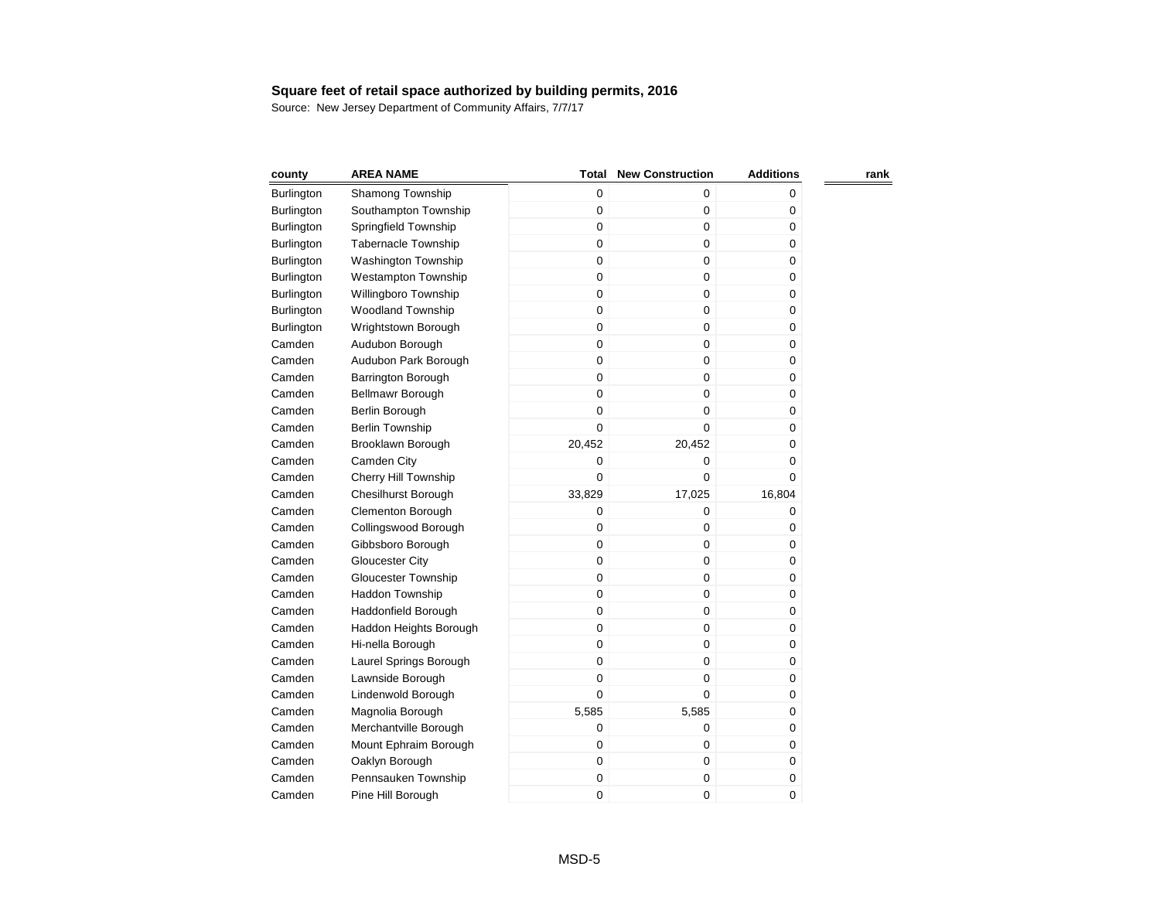| county            | <b>AREA NAME</b>           | Total       | <b>New Construction</b> | <b>Additions</b> | rank |
|-------------------|----------------------------|-------------|-------------------------|------------------|------|
| Burlington        | Shamong Township           | 0           | 0                       | 0                |      |
| <b>Burlington</b> | Southampton Township       | 0           | 0                       | 0                |      |
| Burlington        | Springfield Township       | 0           | 0                       | $\pmb{0}$        |      |
| Burlington        | <b>Tabernacle Township</b> | $\mathbf 0$ | $\mathbf 0$             | 0                |      |
| Burlington        | <b>Washington Township</b> | $\mathbf 0$ | 0                       | 0                |      |
| <b>Burlington</b> | Westampton Township        | $\mathbf 0$ | 0                       | 0                |      |
| Burlington        | Willingboro Township       | $\mathbf 0$ | $\mathbf 0$             | $\mathbf 0$      |      |
| Burlington        | <b>Woodland Township</b>   | $\mathbf 0$ | 0                       | $\mathbf 0$      |      |
| Burlington        | Wrightstown Borough        | 0           | 0                       | 0                |      |
| Camden            | Audubon Borough            | $\mathbf 0$ | 0                       | $\pmb{0}$        |      |
| Camden            | Audubon Park Borough       | $\mathbf 0$ | $\mathbf 0$             | 0                |      |
| Camden            | <b>Barrington Borough</b>  | $\mathbf 0$ | 0                       | 0                |      |
| Camden            | Bellmawr Borough           | $\mathbf 0$ | 0                       | $\pmb{0}$        |      |
| Camden            | Berlin Borough             | 0           | $\mathbf 0$             | 0                |      |
| Camden            | <b>Berlin Township</b>     | 0           | $\mathbf 0$             | 0                |      |
| Camden            | Brooklawn Borough          | 20,452      | 20,452                  | 0                |      |
| Camden            | Camden City                | 0           | $\boldsymbol{0}$        | 0                |      |
| Camden            | Cherry Hill Township       | 0           | 0                       | 0                |      |
| Camden            | <b>Chesilhurst Borough</b> | 33,829      | 17,025                  | 16,804           |      |
| Camden            | Clementon Borough          | 0           | 0                       | 0                |      |
| Camden            | Collingswood Borough       | 0           | $\mathbf 0$             | 0                |      |
| Camden            | Gibbsboro Borough          | 0           | $\mathbf 0$             | 0                |      |
| Camden            | Gloucester City            | 0           | 0                       | 0                |      |
| Camden            | <b>Gloucester Township</b> | $\mathbf 0$ | $\mathbf 0$             | 0                |      |
| Camden            | <b>Haddon Township</b>     | 0           | 0                       | 0                |      |
| Camden            | Haddonfield Borough        | 0           | 0                       | 0                |      |
| Camden            | Haddon Heights Borough     | $\mathbf 0$ | 0                       | 0                |      |
| Camden            | Hi-nella Borough           | 0           | $\mathbf 0$             | 0                |      |
| Camden            | Laurel Springs Borough     | 0           | 0                       | 0                |      |
| Camden            | Lawnside Borough           | 0           | 0                       | 0                |      |
| Camden            | Lindenwold Borough         | $\mathbf 0$ | 0                       | 0                |      |
| Camden            | Magnolia Borough           | 5,585       | 5,585                   | 0                |      |
| Camden            | Merchantville Borough      | 0           | 0                       | 0                |      |
| Camden            | Mount Ephraim Borough      | 0           | 0                       | 0                |      |
| Camden            | Oaklyn Borough             | 0           | 0                       | 0                |      |
| Camden            | Pennsauken Township        | 0           | 0                       | $\pmb{0}$        |      |
| Camden            | Pine Hill Borough          | 0           | 0                       | 0                |      |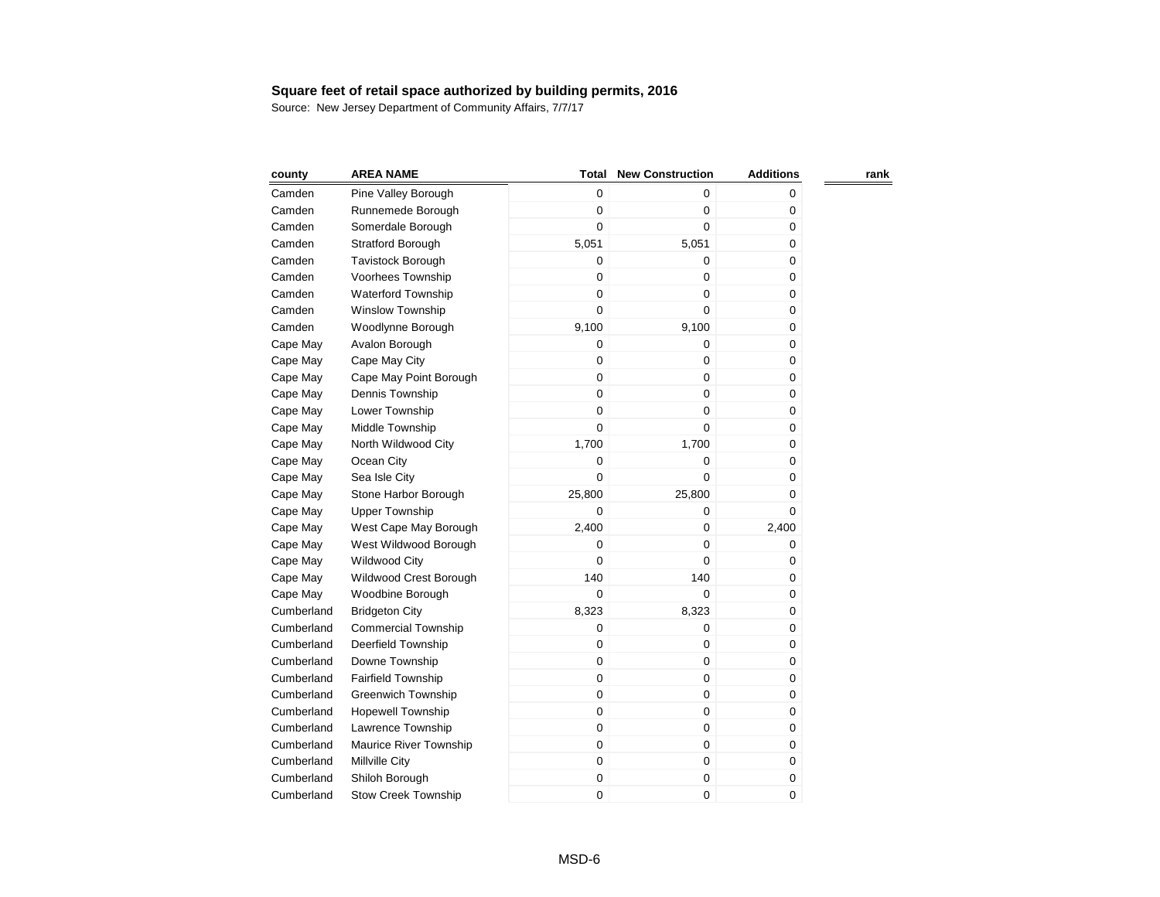| county     | <b>AREA NAME</b>           | Total            | <b>New Construction</b> | <b>Additions</b> | rank |
|------------|----------------------------|------------------|-------------------------|------------------|------|
| Camden     | Pine Valley Borough        | $\mathbf 0$      | $\mathbf 0$             | 0                |      |
| Camden     | Runnemede Borough          | 0                | $\pmb{0}$               | 0                |      |
| Camden     | Somerdale Borough          | 0                | $\mathbf 0$             | 0                |      |
| Camden     | <b>Stratford Borough</b>   | 5,051            | 5,051                   | 0                |      |
| Camden     | <b>Tavistock Borough</b>   | 0                | $\mathbf 0$             | 0                |      |
| Camden     | Voorhees Township          | 0                | $\mathbf 0$             | 0                |      |
| Camden     | <b>Waterford Township</b>  | 0                | $\pmb{0}$               | 0                |      |
| Camden     | Winslow Township           | 0                | $\mathbf 0$             | 0                |      |
| Camden     | Woodlynne Borough          | 9,100            | 9,100                   | 0                |      |
| Cape May   | Avalon Borough             | 0                | 0                       | 0                |      |
| Cape May   | Cape May City              | 0                | $\pmb{0}$               | 0                |      |
| Cape May   | Cape May Point Borough     | $\mathsf 0$      | $\mathbf 0$             | 0                |      |
| Cape May   | Dennis Township            | 0                | $\mathbf 0$             | 0                |      |
| Cape May   | Lower Township             | 0                | $\mathbf 0$             | 0                |      |
| Cape May   | Middle Township            | 0                | $\mathbf 0$             | 0                |      |
| Cape May   | North Wildwood City        | 1,700            | 1,700                   | 0                |      |
| Cape May   | Ocean City                 | $\mathbf 0$      | $\mathbf 0$             | 0                |      |
| Cape May   | Sea Isle City              | 0                | $\mathbf 0$             | 0                |      |
| Cape May   | Stone Harbor Borough       | 25,800           | 25,800                  | 0                |      |
| Cape May   | <b>Upper Township</b>      | $\mathbf 0$      | $\mathbf 0$             | 0                |      |
| Cape May   | West Cape May Borough      | 2,400            | $\mathbf 0$             | 2,400            |      |
| Cape May   | West Wildwood Borough      | 0                | $\mathbf 0$             | 0                |      |
| Cape May   | <b>Wildwood City</b>       | 0                | $\mathbf 0$             | 0                |      |
| Cape May   | Wildwood Crest Borough     | 140              | 140                     | 0                |      |
| Cape May   | Woodbine Borough           | $\boldsymbol{0}$ | $\mathbf 0$             | 0                |      |
| Cumberland | <b>Bridgeton City</b>      | 8,323            | 8,323                   | 0                |      |
| Cumberland | <b>Commercial Township</b> | 0                | $\pmb{0}$               | 0                |      |
| Cumberland | Deerfield Township         | 0                | $\mathbf 0$             | 0                |      |
| Cumberland | Downe Township             | $\mathbf 0$      | $\mathbf 0$             | 0                |      |
| Cumberland | <b>Fairfield Township</b>  | 0                | $\mathbf 0$             | 0                |      |
| Cumberland | <b>Greenwich Township</b>  | 0                | $\pmb{0}$               | 0                |      |
| Cumberland | <b>Hopewell Township</b>   | 0                | $\mathbf 0$             | 0                |      |
| Cumberland | Lawrence Township          | $\mathbf 0$      | $\mathbf 0$             | 0                |      |
| Cumberland | Maurice River Township     | $\mathbf 0$      | $\pmb{0}$               | 0                |      |
| Cumberland | Millville City             | $\mathbf 0$      | $\pmb{0}$               | 0                |      |
| Cumberland | Shiloh Borough             | 0                | $\pmb{0}$               | 0                |      |
| Cumberland | <b>Stow Creek Township</b> | 0                | $\mathbf 0$             | 0                |      |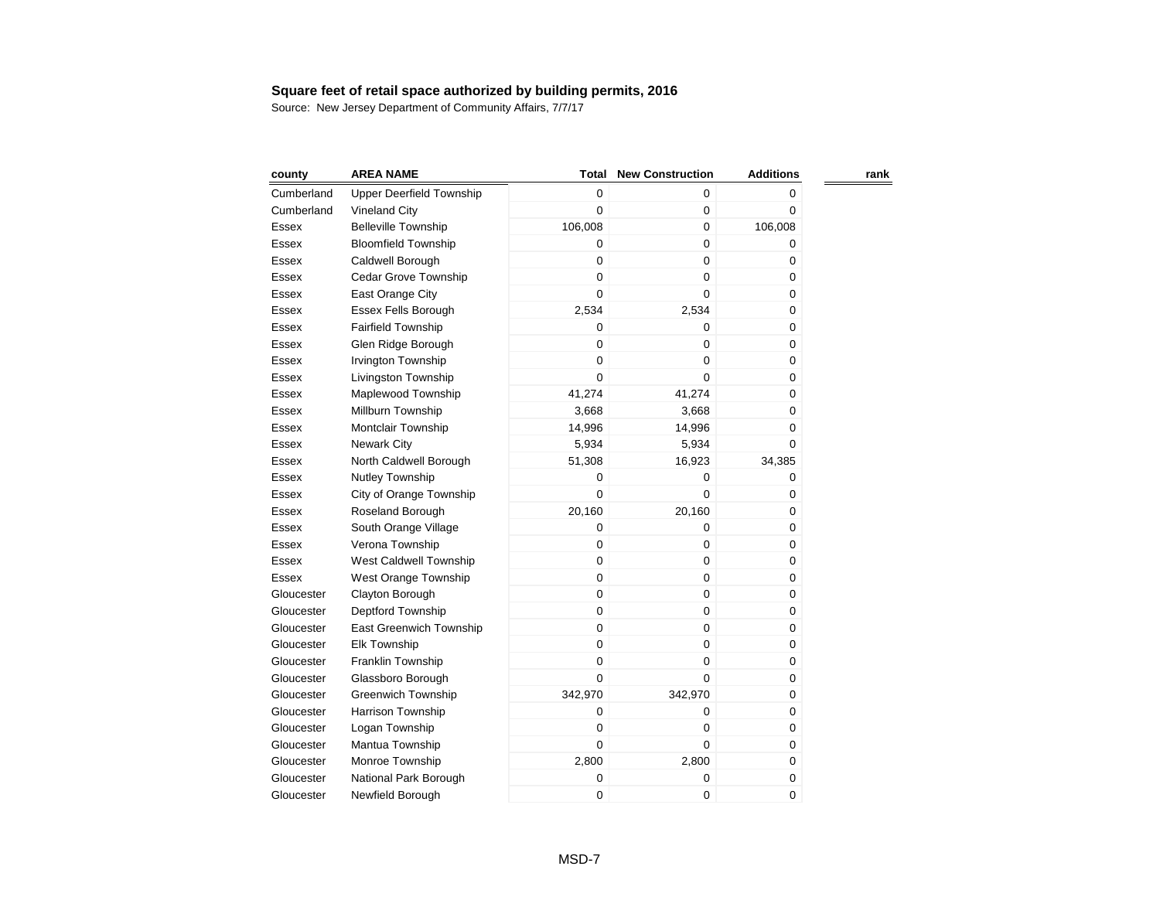| county     | <b>AREA NAME</b>                | <b>Total</b> | <b>New Construction</b> | <b>Additions</b> | rank |
|------------|---------------------------------|--------------|-------------------------|------------------|------|
| Cumberland | <b>Upper Deerfield Township</b> | 0            | 0                       | 0                |      |
| Cumberland | Vineland City                   | 0            | 0                       | 0                |      |
| Essex      | <b>Belleville Township</b>      | 106,008      | 0                       | 106,008          |      |
| Essex      | <b>Bloomfield Township</b>      | 0            | 0                       | 0                |      |
| Essex      | Caldwell Borough                | 0            | 0                       | 0                |      |
| Essex      | Cedar Grove Township            | 0            | 0                       | 0                |      |
| Essex      | East Orange City                | 0            | $\mathbf 0$             | 0                |      |
| Essex      | Essex Fells Borough             | 2,534        | 2,534                   | 0                |      |
| Essex      | <b>Fairfield Township</b>       | 0            | 0                       | 0                |      |
| Essex      | Glen Ridge Borough              | 0            | $\mathbf 0$             | 0                |      |
| Essex      | Irvington Township              | 0            | 0                       | 0                |      |
| Essex      | Livingston Township             | 0            | 0                       | 0                |      |
| Essex      | Maplewood Township              | 41,274       | 41,274                  | 0                |      |
| Essex      | Millburn Township               | 3,668        | 3,668                   | 0                |      |
| Essex      | Montclair Township              | 14,996       | 14,996                  | 0                |      |
| Essex      | <b>Newark City</b>              | 5,934        | 5,934                   | 0                |      |
| Essex      | North Caldwell Borough          | 51,308       | 16,923                  | 34,385           |      |
| Essex      | <b>Nutley Township</b>          | 0            | 0                       | 0                |      |
| Essex      | City of Orange Township         | 0            | 0                       | 0                |      |
| Essex      | Roseland Borough                | 20,160       | 20,160                  | 0                |      |
| Essex      | South Orange Village            | 0            | 0                       | 0                |      |
| Essex      | Verona Township                 | 0            | 0                       | 0                |      |
| Essex      | West Caldwell Township          | 0            | 0                       | 0                |      |
| Essex      | West Orange Township            | 0            | 0                       | 0                |      |
| Gloucester | Clayton Borough                 | 0            | 0                       | 0                |      |
| Gloucester | Deptford Township               | 0            | 0                       | 0                |      |
| Gloucester | East Greenwich Township         | 0            | 0                       | 0                |      |
| Gloucester | <b>Elk Township</b>             | 0            | 0                       | 0                |      |
| Gloucester | Franklin Township               | 0            | 0                       | 0                |      |
| Gloucester | Glassboro Borough               | 0            | $\Omega$                | 0                |      |
| Gloucester | <b>Greenwich Township</b>       | 342,970      | 342,970                 | 0                |      |
| Gloucester | <b>Harrison Township</b>        | 0            | 0                       | 0                |      |
| Gloucester | Logan Township                  | 0            | 0                       | 0                |      |
| Gloucester | Mantua Township                 | $\mathbf 0$  | 0                       | 0                |      |
| Gloucester | Monroe Township                 | 2,800        | 2,800                   | 0                |      |
| Gloucester | National Park Borough           | 0            | 0                       | 0                |      |
| Gloucester | Newfield Borough                | 0            | 0                       | 0                |      |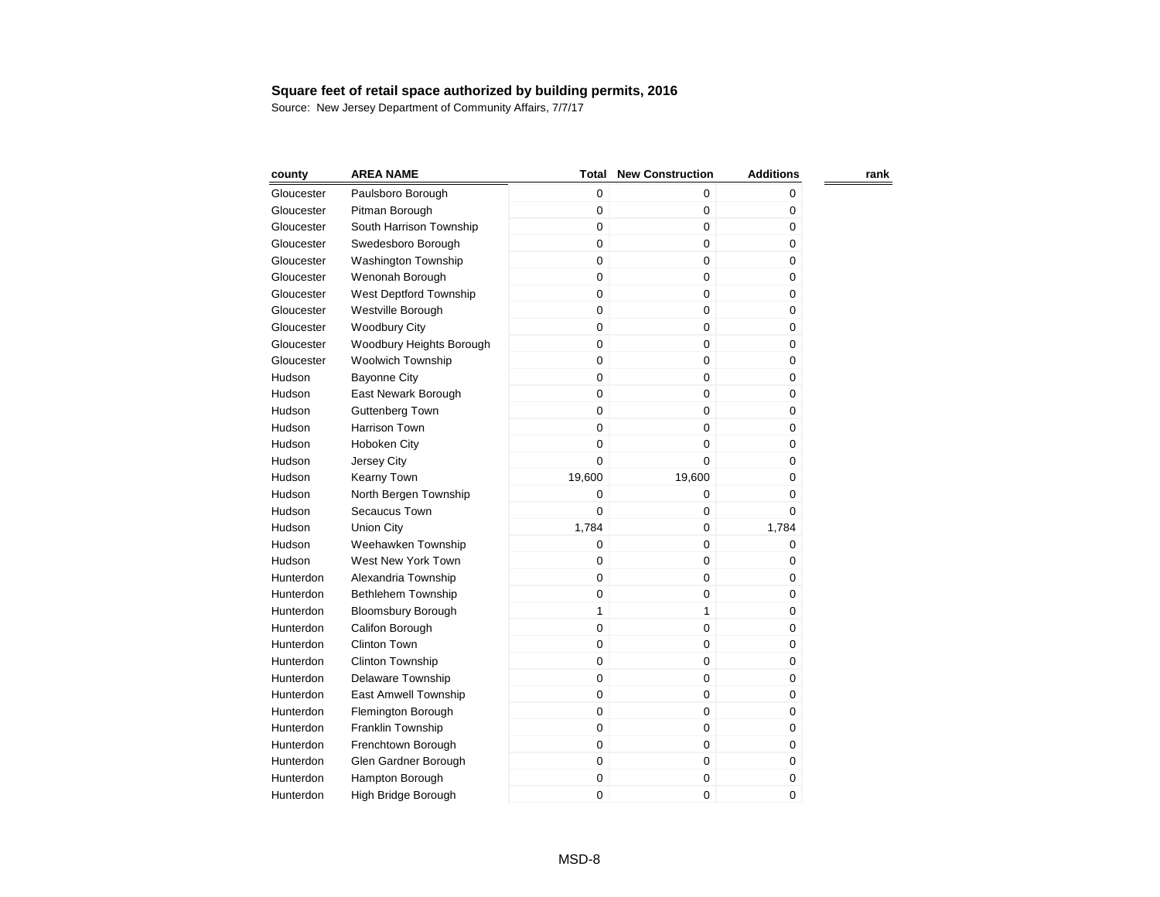| county     | <b>AREA NAME</b>           | Total        | <b>New Construction</b> | <b>Additions</b> | rank |
|------------|----------------------------|--------------|-------------------------|------------------|------|
| Gloucester | Paulsboro Borough          | 0            | 0                       | 0                |      |
| Gloucester | Pitman Borough             | $\mathbf 0$  | $\mathbf 0$             | 0                |      |
| Gloucester | South Harrison Township    | $\mathbf 0$  | $\mathbf 0$             | 0                |      |
| Gloucester | Swedesboro Borough         | $\mathbf 0$  | $\mathbf 0$             | $\pmb{0}$        |      |
| Gloucester | <b>Washington Township</b> | $\mathbf 0$  | $\boldsymbol{0}$        | 0                |      |
| Gloucester | Wenonah Borough            | $\mathbf 0$  | $\mathbf 0$             | 0                |      |
| Gloucester | West Deptford Township     | $\mathbf 0$  | $\boldsymbol{0}$        | 0                |      |
| Gloucester | Westville Borough          | $\pmb{0}$    | $\mathbf 0$             | 0                |      |
| Gloucester | <b>Woodbury City</b>       | $\mathbf 0$  | $\mathbf 0$             | 0                |      |
| Gloucester | Woodbury Heights Borough   | $\mathbf 0$  | $\mathbf 0$             | 0                |      |
| Gloucester | <b>Woolwich Township</b>   | $\mathbf 0$  | $\boldsymbol{0}$        | 0                |      |
| Hudson     | <b>Bayonne City</b>        | $\pmb{0}$    | $\mathbf 0$             | 0                |      |
| Hudson     | East Newark Borough        | $\mathbf 0$  | $\mathbf 0$             | $\mathbf 0$      |      |
| Hudson     | <b>Guttenberg Town</b>     | $\mathbf 0$  | $\mathbf 0$             | 0                |      |
| Hudson     | <b>Harrison Town</b>       | $\mathbf 0$  | $\mathbf 0$             | 0                |      |
| Hudson     | Hoboken City               | $\mathbf 0$  | $\mathbf 0$             | 0                |      |
| Hudson     | Jersey City                | $\mathbf 0$  | $\mathbf 0$             | $\mathbf 0$      |      |
| Hudson     | Kearny Town                | 19,600       | 19,600                  | 0                |      |
| Hudson     | North Bergen Township      | $\mathbf 0$  | $\pmb{0}$               | 0                |      |
| Hudson     | Secaucus Town              | $\mathbf 0$  | $\mathbf 0$             | 0                |      |
| Hudson     | <b>Union City</b>          | 1,784        | $\mathbf 0$             | 1,784            |      |
| Hudson     | Weehawken Township         | $\mathbf 0$  | $\mathbf 0$             | 0                |      |
| Hudson     | West New York Town         | $\mathbf 0$  | $\pmb{0}$               | 0                |      |
| Hunterdon  | Alexandria Township        | $\mathbf 0$  | $\mathbf 0$             | 0                |      |
| Hunterdon  | <b>Bethlehem Township</b>  | $\mathbf 0$  | $\mathbf 0$             | 0                |      |
| Hunterdon  | <b>Bloomsbury Borough</b>  | $\mathbf{1}$ | 1                       | 0                |      |
| Hunterdon  | Califon Borough            | $\mathbf 0$  | $\pmb{0}$               | 0                |      |
| Hunterdon  | <b>Clinton Town</b>        | $\mathbf 0$  | $\pmb{0}$               | 0                |      |
| Hunterdon  | <b>Clinton Township</b>    | $\mathbf 0$  | 0                       | 0                |      |
| Hunterdon  | Delaware Township          | $\mathbf 0$  | $\mathbf 0$             | 0                |      |
| Hunterdon  | East Amwell Township       | $\mathbf 0$  | $\pmb{0}$               | 0                |      |
| Hunterdon  | Flemington Borough         | $\mathbf 0$  | $\pmb{0}$               | 0                |      |
| Hunterdon  | Franklin Township          | $\mathbf 0$  | $\mathbf 0$             | 0                |      |
| Hunterdon  | Frenchtown Borough         | $\mathbf 0$  | $\mathbf 0$             | 0                |      |
| Hunterdon  | Glen Gardner Borough       | $\mathbf 0$  | $\boldsymbol{0}$        | 0                |      |
| Hunterdon  | Hampton Borough            | $\mathbf 0$  | $\boldsymbol{0}$        | $\pmb{0}$        |      |
| Hunterdon  | High Bridge Borough        | $\mathbf 0$  | 0                       | 0                |      |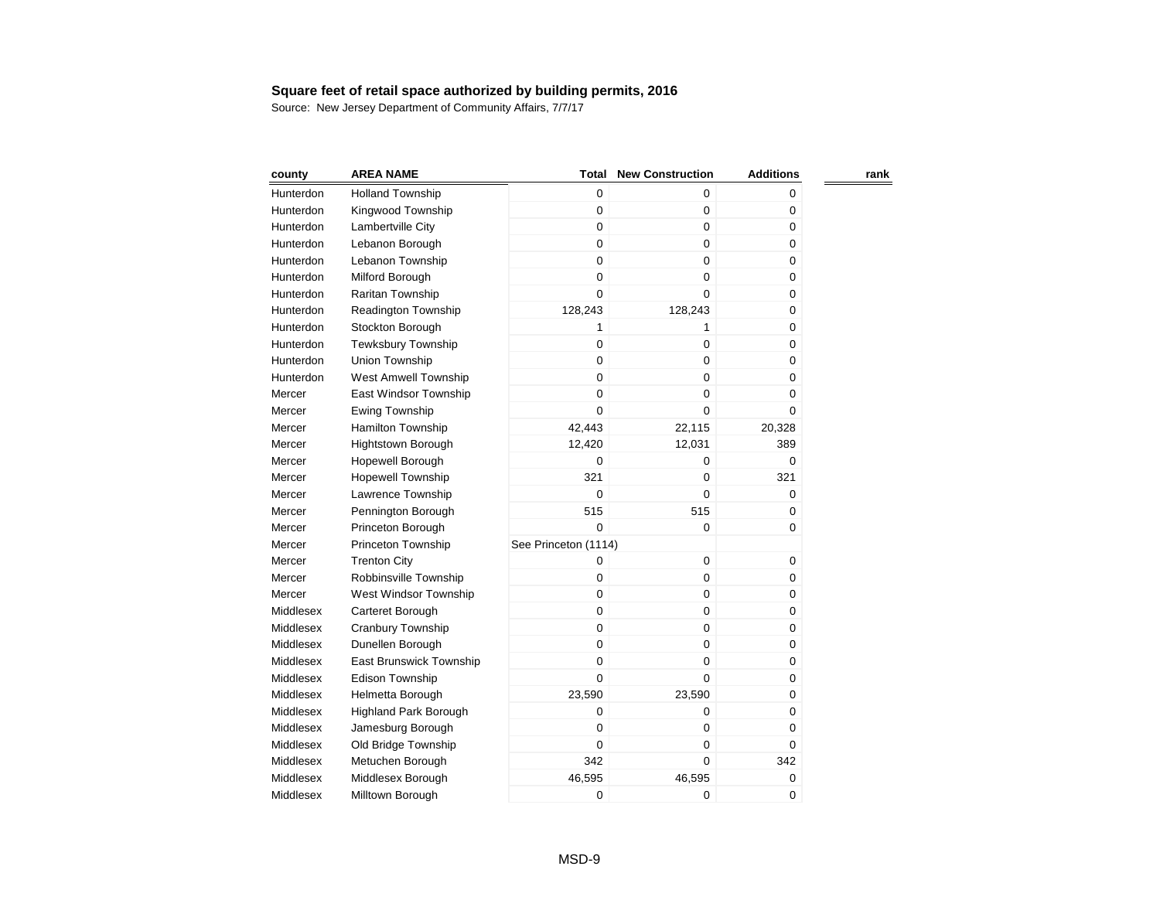| county    | <b>AREA NAME</b>             | <b>Total</b>         | <b>New Construction</b> | <b>Additions</b> | rank |
|-----------|------------------------------|----------------------|-------------------------|------------------|------|
| Hunterdon | <b>Holland Township</b>      | $\mathbf 0$          | 0                       | 0                |      |
| Hunterdon | Kingwood Township            | 0                    | $\mathbf 0$             | 0                |      |
| Hunterdon | Lambertville City            | 0                    | 0                       | 0                |      |
| Hunterdon | Lebanon Borough              | 0                    | 0                       | 0                |      |
| Hunterdon | Lebanon Township             | $\mathbf 0$          | 0                       | 0                |      |
| Hunterdon | Milford Borough              | 0                    | 0                       | $\pmb{0}$        |      |
| Hunterdon | Raritan Township             | 0                    | $\Omega$                | 0                |      |
| Hunterdon | <b>Readington Township</b>   | 128,243              | 128,243                 | 0                |      |
| Hunterdon | Stockton Borough             | 1                    | 1                       | 0                |      |
| Hunterdon | <b>Tewksbury Township</b>    | 0                    | 0                       | 0                |      |
| Hunterdon | Union Township               | $\boldsymbol{0}$     | 0                       | 0                |      |
| Hunterdon | West Amwell Township         | 0                    | 0                       | 0                |      |
| Mercer    | East Windsor Township        | 0                    | $\mathbf 0$             | $\mathbf 0$      |      |
| Mercer    | Ewing Township               | 0                    | $\mathbf 0$             | $\mathbf 0$      |      |
| Mercer    | Hamilton Township            | 42,443               | 22,115                  | 20,328           |      |
| Mercer    | <b>Hightstown Borough</b>    | 12,420               | 12,031                  | 389              |      |
| Mercer    | Hopewell Borough             | 0                    | 0                       | 0                |      |
| Mercer    | Hopewell Township            | 321                  | $\pmb{0}$               | 321              |      |
| Mercer    | Lawrence Township            | $\mathbf 0$          | $\mathbf 0$             | 0                |      |
| Mercer    | Pennington Borough           | 515                  | 515                     | 0                |      |
| Mercer    | Princeton Borough            | 0                    | $\mathbf 0$             | 0                |      |
| Mercer    | Princeton Township           | See Princeton (1114) |                         |                  |      |
| Mercer    | <b>Trenton City</b>          | 0                    | $\mathbf 0$             | 0                |      |
| Mercer    | Robbinsville Township        | 0                    | 0                       | 0                |      |
| Mercer    | West Windsor Township        | $\mathbf 0$          | 0                       | 0                |      |
| Middlesex | Carteret Borough             | $\mathbf 0$          | $\mathbf 0$             | 0                |      |
| Middlesex | Cranbury Township            | 0                    | $\mathbf 0$             | 0                |      |
| Middlesex | Dunellen Borough             | 0                    | $\mathbf 0$             | 0                |      |
| Middlesex | East Brunswick Township      | 0                    | $\mathbf 0$             | 0                |      |
| Middlesex | Edison Township              | $\mathbf 0$          | 0                       | 0                |      |
| Middlesex | Helmetta Borough             | 23,590               | 23,590                  | 0                |      |
| Middlesex | <b>Highland Park Borough</b> | 0                    | $\mathbf 0$             | 0                |      |
| Middlesex | Jamesburg Borough            | 0                    | $\mathbf 0$             | 0                |      |
| Middlesex | Old Bridge Township          | 0                    | $\mathbf 0$             | 0                |      |
| Middlesex | Metuchen Borough             | 342                  | $\mathbf 0$             | 342              |      |
| Middlesex | Middlesex Borough            | 46,595               | 46,595                  | 0                |      |
| Middlesex | Milltown Borough             | 0                    | $\mathbf 0$             | 0                |      |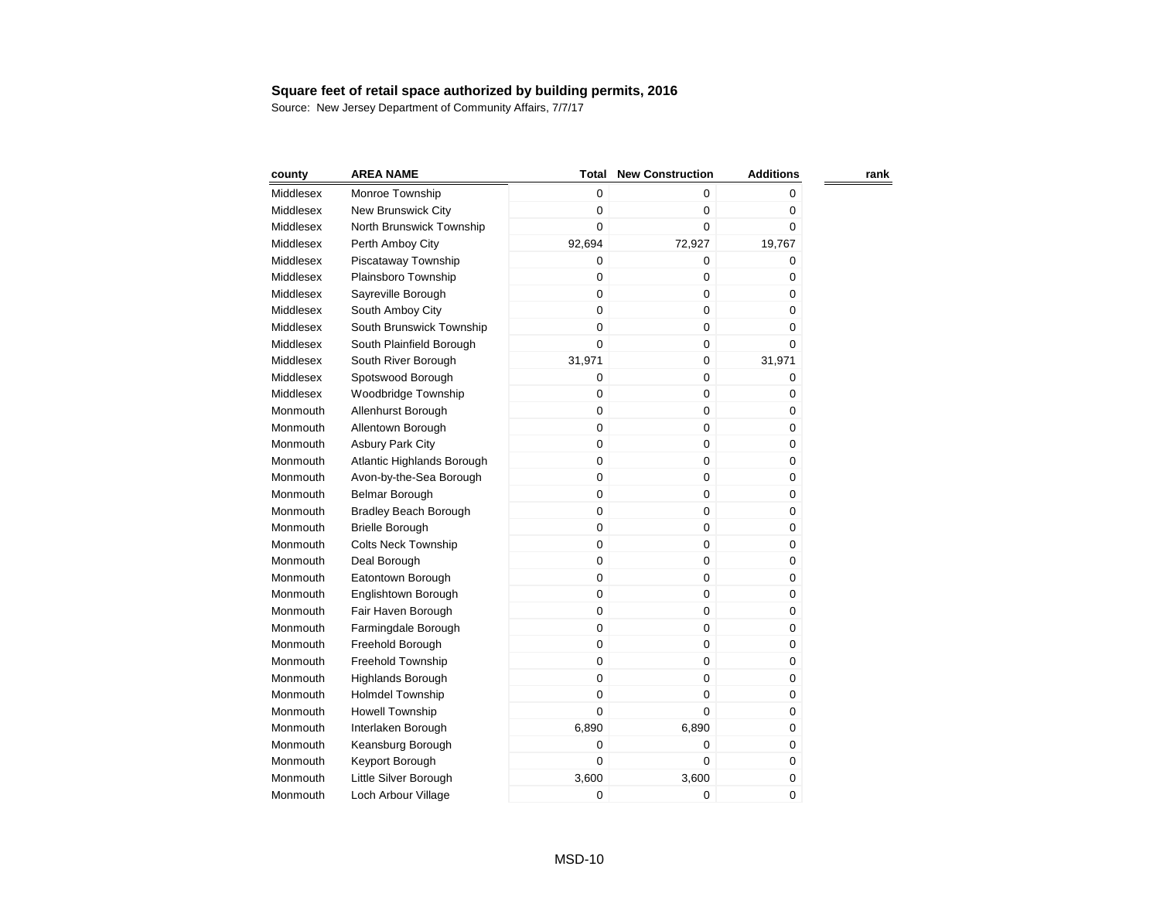| county    | <b>AREA NAME</b>             | <b>Total</b> | <b>New Construction</b> | <b>Additions</b> | rank |
|-----------|------------------------------|--------------|-------------------------|------------------|------|
| Middlesex | Monroe Township              | 0            | $\Omega$                | 0                |      |
| Middlesex | New Brunswick City           | 0            | $\mathbf 0$             | 0                |      |
| Middlesex | North Brunswick Township     | 0            | $\mathbf 0$             | 0                |      |
| Middlesex | Perth Amboy City             | 92,694       | 72,927                  | 19,767           |      |
| Middlesex | Piscataway Township          | 0            | $\mathbf 0$             | 0                |      |
| Middlesex | Plainsboro Township          | 0            | $\mathbf 0$             | 0                |      |
| Middlesex | Sayreville Borough           | 0            | $\mathbf 0$             | 0                |      |
| Middlesex | South Amboy City             | 0            | $\pmb{0}$               | 0                |      |
| Middlesex | South Brunswick Township     | 0            | $\mathbf 0$             | 0                |      |
| Middlesex | South Plainfield Borough     | $\mathbf 0$  | $\mathbf 0$             | 0                |      |
| Middlesex | South River Borough          | 31,971       | $\mathbf 0$             | 31,971           |      |
| Middlesex | Spotswood Borough            | 0            | $\mathbf 0$             | 0                |      |
| Middlesex | Woodbridge Township          | 0            | $\boldsymbol{0}$        | 0                |      |
| Monmouth  | Allenhurst Borough           | 0            | $\pmb{0}$               | 0                |      |
| Monmouth  | Allentown Borough            | $\mathbf 0$  | $\mathbf 0$             | 0                |      |
| Monmouth  | <b>Asbury Park City</b>      | 0            | $\mathbf 0$             | 0                |      |
| Monmouth  | Atlantic Highlands Borough   | 0            | $\boldsymbol{0}$        | 0                |      |
| Monmouth  | Avon-by-the-Sea Borough      | 0            | $\pmb{0}$               | 0                |      |
| Monmouth  | Belmar Borough               | 0            | 0                       | 0                |      |
| Monmouth  | <b>Bradley Beach Borough</b> | 0            | $\mathbf 0$             | 0                |      |
| Monmouth  | <b>Brielle Borough</b>       | 0            | $\mathbf 0$             | 0                |      |
| Monmouth  | <b>Colts Neck Township</b>   | 0            | $\pmb{0}$               | 0                |      |
| Monmouth  | Deal Borough                 | 0            | 0                       | 0                |      |
| Monmouth  | Eatontown Borough            | 0            | $\mathbf 0$             | 0                |      |
| Monmouth  | Englishtown Borough          | 0            | $\mathbf 0$             | 0                |      |
| Monmouth  | Fair Haven Borough           | 0            | $\mathbf 0$             | 0                |      |
| Monmouth  | Farmingdale Borough          | 0            | $\mathbf 0$             | 0                |      |
| Monmouth  | Freehold Borough             | 0            | 0                       | 0                |      |
| Monmouth  | Freehold Township            | 0            | $\mathbf 0$             | 0                |      |
| Monmouth  | <b>Highlands Borough</b>     | 0            | $\mathbf 0$             | 0                |      |
| Monmouth  | <b>Holmdel Township</b>      | 0            | $\pmb{0}$               | 0                |      |
| Monmouth  | Howell Township              | 0            | 0                       | 0                |      |
| Monmouth  | Interlaken Borough           | 6,890        | 6,890                   | 0                |      |
| Monmouth  | Keansburg Borough            | 0            | $\mathbf 0$             | 0                |      |
| Monmouth  | Keyport Borough              | 0            | $\mathbf 0$             | 0                |      |
| Monmouth  | Little Silver Borough        | 3,600        | 3,600                   | 0                |      |
| Monmouth  | Loch Arbour Village          | 0            | $\mathbf 0$             | 0                |      |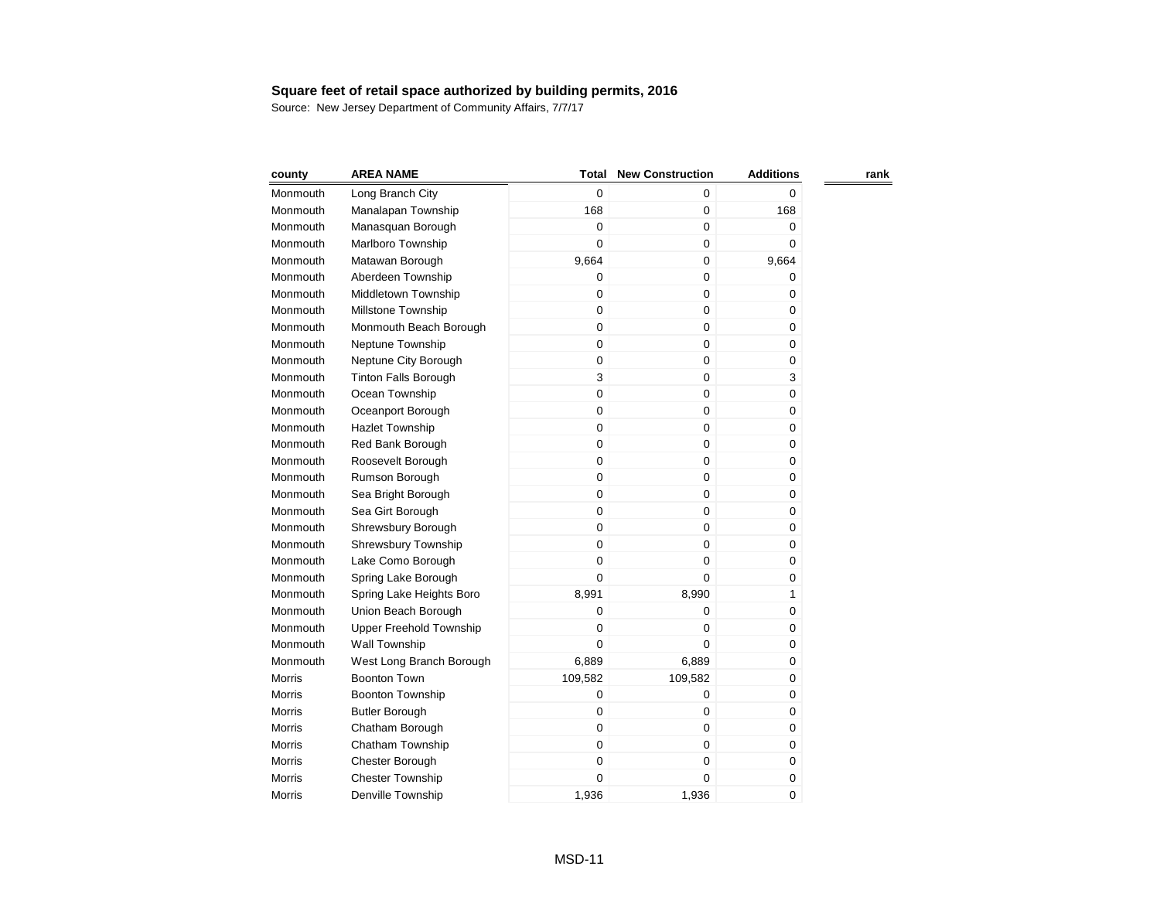| county        | <b>AREA NAME</b>            | Total       | <b>New Construction</b> | <b>Additions</b> | rank |
|---------------|-----------------------------|-------------|-------------------------|------------------|------|
| Monmouth      | Long Branch City            | $\mathbf 0$ | 0                       | $\Omega$         |      |
| Monmouth      | Manalapan Township          | 168         | $\mathbf 0$             | 168              |      |
| Monmouth      | Manasquan Borough           | $\mathbf 0$ | $\boldsymbol{0}$        | 0                |      |
| Monmouth      | Marlboro Township           | 0           | $\pmb{0}$               | $\boldsymbol{0}$ |      |
| Monmouth      | Matawan Borough             | 9,664       | $\mathbf 0$             | 9,664            |      |
| Monmouth      | Aberdeen Township           | $\mathbf 0$ | 0                       | 0                |      |
| Monmouth      | Middletown Township         | $\mathbf 0$ | $\mathbf 0$             | 0                |      |
| Monmouth      | Millstone Township          | $\mathbf 0$ | $\mathbf 0$             | 0                |      |
| Monmouth      | Monmouth Beach Borough      | $\mathbf 0$ | $\mathbf 0$             | 0                |      |
| Monmouth      | Neptune Township            | $\mathbf 0$ | $\mathbf 0$             | 0                |      |
| Monmouth      | Neptune City Borough        | $\mathbf 0$ | $\mathbf 0$             | 0                |      |
| Monmouth      | <b>Tinton Falls Borough</b> | 3           | $\pmb{0}$               | 3                |      |
| Monmouth      | Ocean Township              | $\mathbf 0$ | $\mathbf 0$             | 0                |      |
| Monmouth      | Oceanport Borough           | $\mathbf 0$ | $\pmb{0}$               | $\pmb{0}$        |      |
| Monmouth      | <b>Hazlet Township</b>      | $\mathbf 0$ | $\mathbf 0$             | $\mathbf 0$      |      |
| Monmouth      | Red Bank Borough            | $\mathbf 0$ | $\pmb{0}$               | 0                |      |
| Monmouth      | Roosevelt Borough           | $\mathbf 0$ | $\boldsymbol{0}$        | 0                |      |
| Monmouth      | Rumson Borough              | $\mathbf 0$ | $\pmb{0}$               | $\pmb{0}$        |      |
| Monmouth      | Sea Bright Borough          | $\mathbf 0$ | $\mathbf 0$             | 0                |      |
| Monmouth      | Sea Girt Borough            | $\mathbf 0$ | $\mathbf 0$             | 0                |      |
| Monmouth      | Shrewsbury Borough          | $\mathbf 0$ | $\boldsymbol{0}$        | 0                |      |
| Monmouth      | Shrewsbury Township         | $\mathbf 0$ | $\boldsymbol{0}$        | 0                |      |
| Monmouth      | Lake Como Borough           | $\mathbf 0$ | $\mathbf 0$             | $\pmb{0}$        |      |
| Monmouth      | Spring Lake Borough         | $\mathbf 0$ | $\mathbf 0$             | 0                |      |
| Monmouth      | Spring Lake Heights Boro    | 8,991       | 8,990                   | 1                |      |
| Monmouth      | Union Beach Borough         | $\mathbf 0$ | $\mathbf 0$             | 0                |      |
| Monmouth      | Upper Freehold Township     | 0           | $\mathbf 0$             | 0                |      |
| Monmouth      | Wall Township               | $\mathbf 0$ | 0                       | 0                |      |
| Monmouth      | West Long Branch Borough    | 6,889       | 6,889                   | 0                |      |
| <b>Morris</b> | <b>Boonton Town</b>         | 109,582     | 109,582                 | 0                |      |
| Morris        | <b>Boonton Township</b>     | $\mathbf 0$ | $\pmb{0}$               | 0                |      |
| <b>Morris</b> | <b>Butler Borough</b>       | $\mathbf 0$ | 0                       | 0                |      |
| <b>Morris</b> | Chatham Borough             | $\mathbf 0$ | $\mathbf 0$             | 0                |      |
| Morris        | Chatham Township            | $\mathbf 0$ | $\mathbf 0$             | 0                |      |
| Morris        | Chester Borough             | $\mathbf 0$ | $\pmb{0}$               | 0                |      |
| <b>Morris</b> | <b>Chester Township</b>     | 0           | 0                       | $\pmb{0}$        |      |
| Morris        | Denville Township           | 1,936       | 1,936                   | 0                |      |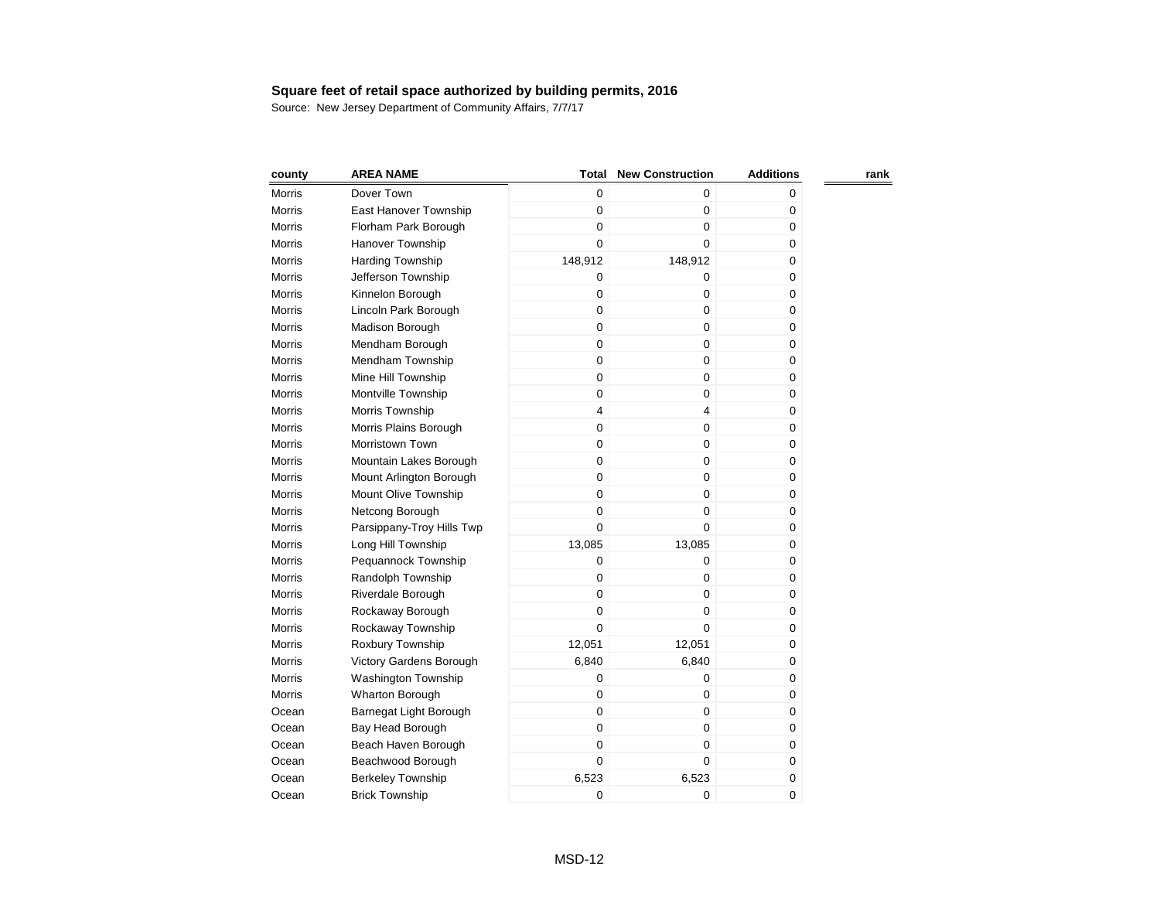| county        | <b>AREA NAME</b>          | <b>Total</b> | <b>New Construction</b> | <b>Additions</b> | rank |
|---------------|---------------------------|--------------|-------------------------|------------------|------|
| Morris        | Dover Town                | 0            | 0                       | 0                |      |
| Morris        | East Hanover Township     | $\mathbf 0$  | 0                       | 0                |      |
| Morris        | Florham Park Borough      | $\mathbf 0$  | $\boldsymbol{0}$        | 0                |      |
| Morris        | Hanover Township          | 0            | 0                       | 0                |      |
| Morris        | <b>Harding Township</b>   | 148,912      | 148,912                 | 0                |      |
| Morris        | Jefferson Township        | $\mathbf 0$  | 0                       | 0                |      |
| <b>Morris</b> | Kinnelon Borough          | $\mathbf 0$  | 0                       | 0                |      |
| <b>Morris</b> | Lincoln Park Borough      | $\pmb{0}$    | 0                       | $\pmb{0}$        |      |
| Morris        | Madison Borough           | $\mathbf 0$  | $\mathbf 0$             | $\mathbf 0$      |      |
| Morris        | Mendham Borough           | $\mathbf 0$  | 0                       | 0                |      |
| Morris        | Mendham Township          | $\mathbf 0$  | 0                       | 0                |      |
| Morris        | Mine Hill Township        | $\mathbf 0$  | 0                       | $\pmb{0}$        |      |
| Morris        | Montville Township        | $\mathbf 0$  | $\mathbf 0$             | $\mathbf 0$      |      |
| Morris        | Morris Township           | 4            | 4                       | 0                |      |
| Morris        | Morris Plains Borough     | 0            | $\boldsymbol{0}$        | 0                |      |
| <b>Morris</b> | Morristown Town           | 0            | $\pmb{0}$               | $\mathbf 0$      |      |
| <b>Morris</b> | Mountain Lakes Borough    | 0            | $\mathbf 0$             | $\mathbf 0$      |      |
| <b>Morris</b> | Mount Arlington Borough   | 0            | $\mathbf 0$             | 0                |      |
| Morris        | Mount Olive Township      | 0            | $\mathbf 0$             | 0                |      |
| <b>Morris</b> | Netcong Borough           | 0            | $\pmb{0}$               | $\mathbf 0$      |      |
| <b>Morris</b> | Parsippany-Troy Hills Twp | 0            | $\mathbf 0$             | 0                |      |
| <b>Morris</b> | Long Hill Township        | 13,085       | 13,085                  | 0                |      |
| Morris        | Pequannock Township       | 0            | 0                       | 0                |      |
| Morris        | Randolph Township         | 0            | 0                       | 0                |      |
| Morris        | Riverdale Borough         | 0            | $\pmb{0}$               | 0                |      |
| <b>Morris</b> | Rockaway Borough          | 0            | 0                       | 0                |      |
| Morris        | Rockaway Township         | $\mathbf 0$  | 0                       | 0                |      |
| Morris        | Roxbury Township          | 12,051       | 12,051                  | 0                |      |
| Morris        | Victory Gardens Borough   | 6,840        | 6,840                   | 0                |      |
| <b>Morris</b> | Washington Township       | $\mathbf 0$  | 0                       | 0                |      |
| Morris        | Wharton Borough           | $\mathbf 0$  | 0                       | 0                |      |
| Ocean         | Barnegat Light Borough    | $\mathbf 0$  | 0                       | 0                |      |
| Ocean         | Bay Head Borough          | 0            | 0                       | 0                |      |
| Ocean         | Beach Haven Borough       | $\mathbf 0$  | $\mathbf 0$             | 0                |      |
| Ocean         | Beachwood Borough         | $\mathbf 0$  | 0                       | 0                |      |
| Ocean         | <b>Berkeley Township</b>  | 6,523        | 6,523                   | 0                |      |
| Ocean         | <b>Brick Township</b>     | 0            | 0                       | 0                |      |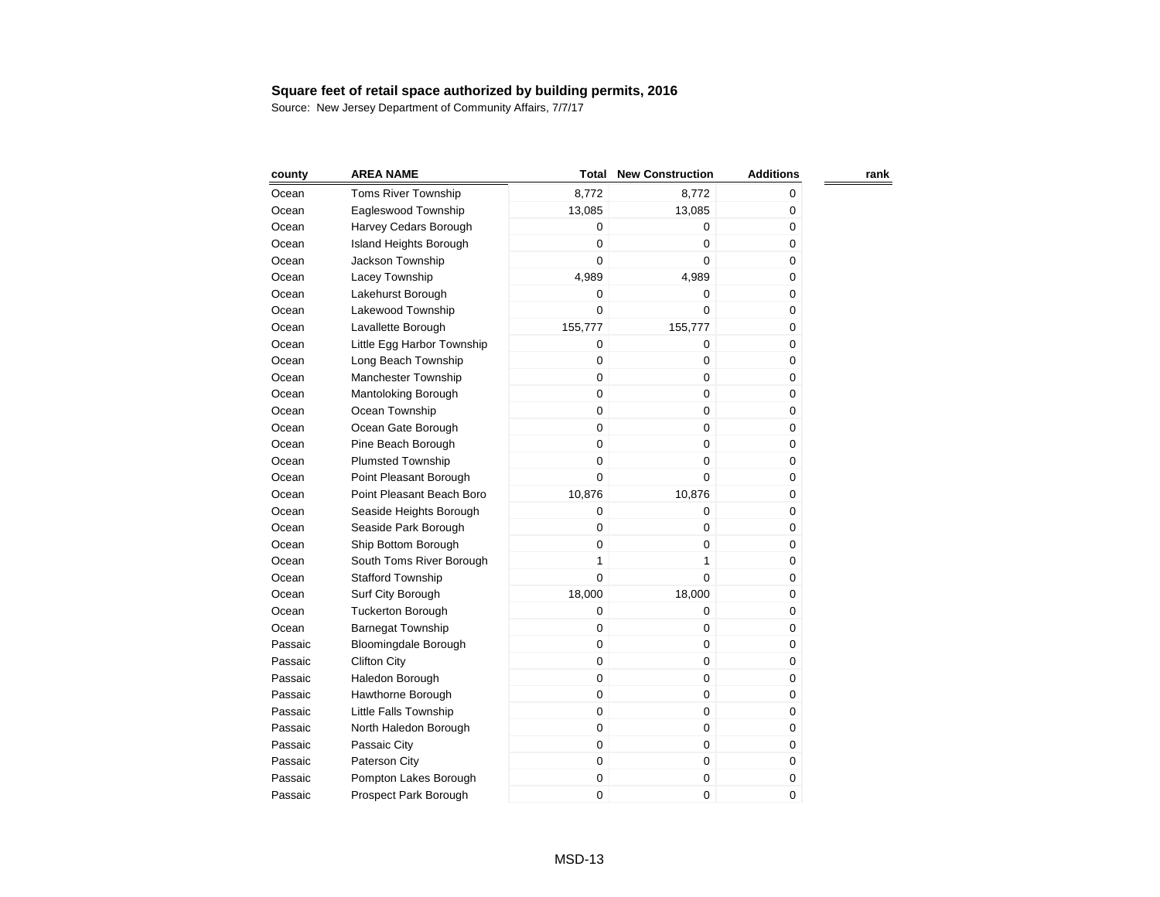| county  | <b>AREA NAME</b>             | Total          | <b>New Construction</b> | <b>Additions</b> | rank |
|---------|------------------------------|----------------|-------------------------|------------------|------|
| Ocean   | <b>Toms River Township</b>   | 8,772          | 8,772                   | 0                |      |
| Ocean   | Eagleswood Township          | 13,085         | 13,085                  | 0                |      |
| Ocean   | Harvey Cedars Borough        | $\mathbf 0$    | 0                       | 0                |      |
| Ocean   | Island Heights Borough       | $\overline{0}$ | 0                       | 0                |      |
| Ocean   | Jackson Township             | 0              | $\Omega$                | 0                |      |
| Ocean   | Lacey Township               | 4,989          | 4,989                   | 0                |      |
| Ocean   | Lakehurst Borough            | 0              | 0                       | 0                |      |
| Ocean   | Lakewood Township            | $\overline{0}$ | $\mathbf 0$             | 0                |      |
| Ocean   | Lavallette Borough           | 155,777        | 155,777                 | 0                |      |
| Ocean   | Little Egg Harbor Township   | 0              | 0                       | 0                |      |
| Ocean   | Long Beach Township          | 0              | 0                       | 0                |      |
| Ocean   | Manchester Township          | $\mathbf 0$    | 0                       | 0                |      |
| Ocean   | Mantoloking Borough          | $\mathbf 0$    | 0                       | 0                |      |
| Ocean   | Ocean Township               | 0              | 0                       | 0                |      |
| Ocean   | Ocean Gate Borough           | $\mathbf 0$    | 0                       | 0                |      |
| Ocean   | Pine Beach Borough           | $\mathbf 0$    | 0                       | 0                |      |
| Ocean   | <b>Plumsted Township</b>     | $\mathbf 0$    | 0                       | 0                |      |
| Ocean   | Point Pleasant Borough       | $\mathbf 0$    | 0                       | 0                |      |
| Ocean   | Point Pleasant Beach Boro    | 10,876         | 10,876                  | 0                |      |
| Ocean   | Seaside Heights Borough      | 0              | 0                       | 0                |      |
| Ocean   | Seaside Park Borough         | 0              | 0                       | 0                |      |
| Ocean   | Ship Bottom Borough          | 0              | 0                       | 0                |      |
| Ocean   | South Toms River Borough     | $\mathbf{1}$   | $\mathbf{1}$            | 0                |      |
| Ocean   | <b>Stafford Township</b>     | 0              | 0                       | 0                |      |
| Ocean   | Surf City Borough            | 18,000         | 18,000                  | 0                |      |
| Ocean   | <b>Tuckerton Borough</b>     | 0              | 0                       | 0                |      |
| Ocean   | <b>Barnegat Township</b>     | 0              | 0                       | 0                |      |
| Passaic | <b>Bloomingdale Borough</b>  | 0              | 0                       | 0                |      |
| Passaic | <b>Clifton City</b>          | 0              | 0                       | 0                |      |
| Passaic | Haledon Borough              | $\mathbf 0$    | 0                       | 0                |      |
| Passaic | Hawthorne Borough            | 0              | 0                       | 0                |      |
| Passaic | <b>Little Falls Township</b> | 0              | 0                       | 0                |      |
| Passaic | North Haledon Borough        | $\mathbf 0$    | 0                       | 0                |      |
| Passaic | Passaic City                 | $\mathbf 0$    | 0                       | 0                |      |
| Passaic | Paterson City                | 0              | 0                       | 0                |      |
| Passaic | Pompton Lakes Borough        | 0              | 0                       | 0                |      |
| Passaic | Prospect Park Borough        | 0              | 0                       | 0                |      |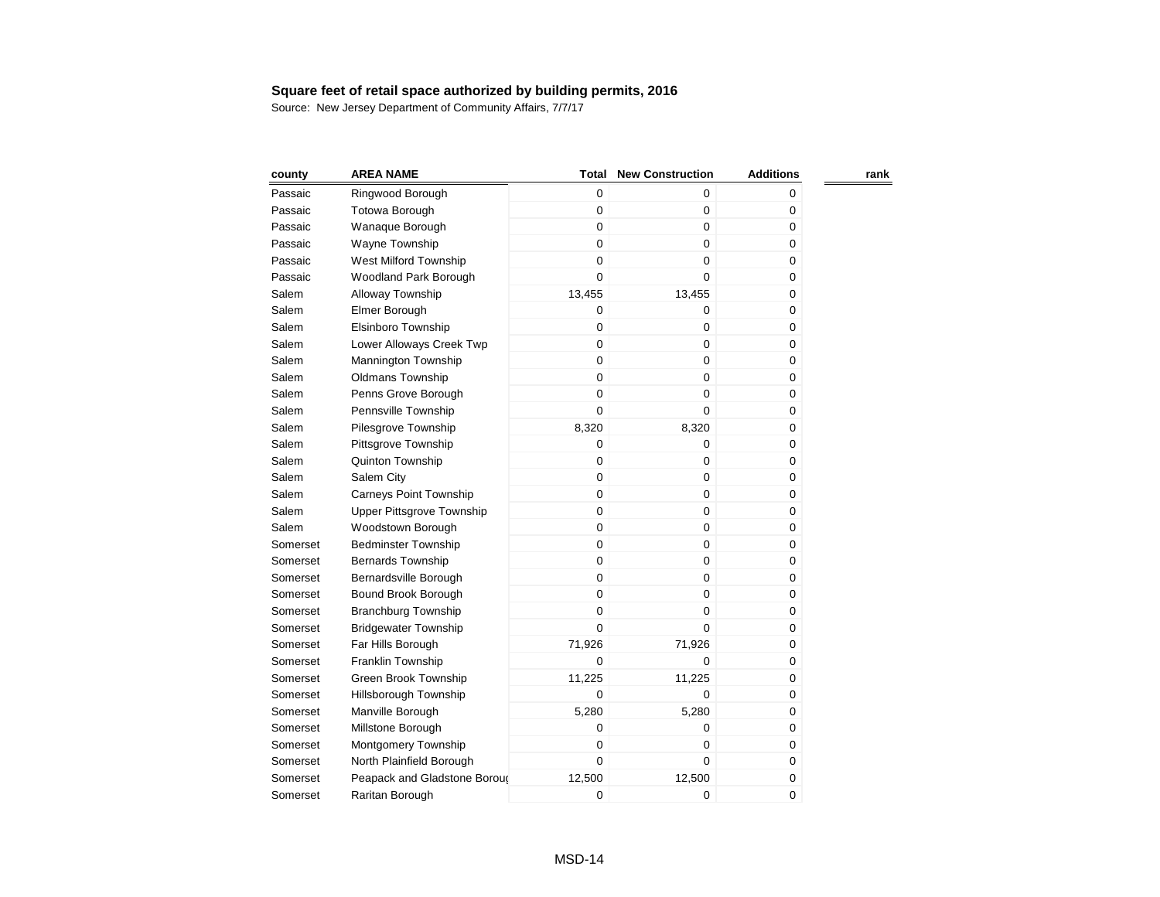| county   | <b>AREA NAME</b>              | <b>Total</b> | <b>New Construction</b> | <b>Additions</b> | rank |
|----------|-------------------------------|--------------|-------------------------|------------------|------|
| Passaic  | Ringwood Borough              | 0            | 0                       | 0                |      |
| Passaic  | <b>Totowa Borough</b>         | $\mathbf 0$  | 0                       | 0                |      |
| Passaic  | Wanaque Borough               | $\mathbf 0$  | 0                       | $\pmb{0}$        |      |
| Passaic  | Wayne Township                | $\mathbf 0$  | 0                       | 0                |      |
| Passaic  | West Milford Township         | $\mathbf 0$  | 0                       | 0                |      |
| Passaic  | Woodland Park Borough         | 0            | 0                       | 0                |      |
| Salem    | Alloway Township              | 13,455       | 13,455                  | $\pmb{0}$        |      |
| Salem    | Elmer Borough                 | 0            | 0                       | $\mathbf 0$      |      |
| Salem    | Elsinboro Township            | $\mathbf 0$  | 0                       | 0                |      |
| Salem    | Lower Alloways Creek Twp      | $\mathbf 0$  | 0                       | 0                |      |
| Salem    | Mannington Township           | $\pmb{0}$    | $\mathbf 0$             | $\pmb{0}$        |      |
| Salem    | <b>Oldmans Township</b>       | $\mathbf 0$  | $\mathbf 0$             | $\mathbf 0$      |      |
| Salem    | Penns Grove Borough           | 0            | $\mathbf 0$             | 0                |      |
| Salem    | Pennsville Township           | 0            | 0                       | 0                |      |
| Salem    | Pilesgrove Township           | 8,320        | 8,320                   | $\pmb{0}$        |      |
| Salem    | Pittsgrove Township           | 0            | 0                       | 0                |      |
| Salem    | Quinton Township              | 0            | 0                       | 0                |      |
| Salem    | Salem City                    | 0            | $\pmb{0}$               | 0                |      |
| Salem    | <b>Carneys Point Township</b> | 0            | $\mathbf 0$             | 0                |      |
| Salem    | Upper Pittsgrove Township     | 0            | $\mathbf 0$             | 0                |      |
| Salem    | Woodstown Borough             | 0            | 0                       | 0                |      |
| Somerset | <b>Bedminster Township</b>    | 0            | 0                       | 0                |      |
| Somerset | <b>Bernards Township</b>      | 0            | $\mathbf 0$             | 0                |      |
| Somerset | Bernardsville Borough         | 0            | 0                       | 0                |      |
| Somerset | Bound Brook Borough           | 0            | $\mathbf 0$             | 0                |      |
| Somerset | <b>Branchburg Township</b>    | 0            | 0                       | 0                |      |
| Somerset | <b>Bridgewater Township</b>   | 0            | 0                       | 0                |      |
| Somerset | Far Hills Borough             | 71,926       | 71,926                  | 0                |      |
| Somerset | Franklin Township             | 0            | 0                       | 0                |      |
| Somerset | Green Brook Township          | 11,225       | 11,225                  | 0                |      |
| Somerset | Hillsborough Township         | $\mathbf 0$  | 0                       | 0                |      |
| Somerset | Manville Borough              | 5,280        | 5,280                   | 0                |      |
| Somerset | Millstone Borough             | 0            | 0                       | 0                |      |
| Somerset | Montgomery Township           | $\mathbf 0$  | 0                       | 0                |      |
| Somerset | North Plainfield Borough      | $\mathbf 0$  | 0                       | 0                |      |
| Somerset | Peapack and Gladstone Boroug  | 12,500       | 12,500                  | 0                |      |
| Somerset | Raritan Borough               | 0            | 0                       | 0                |      |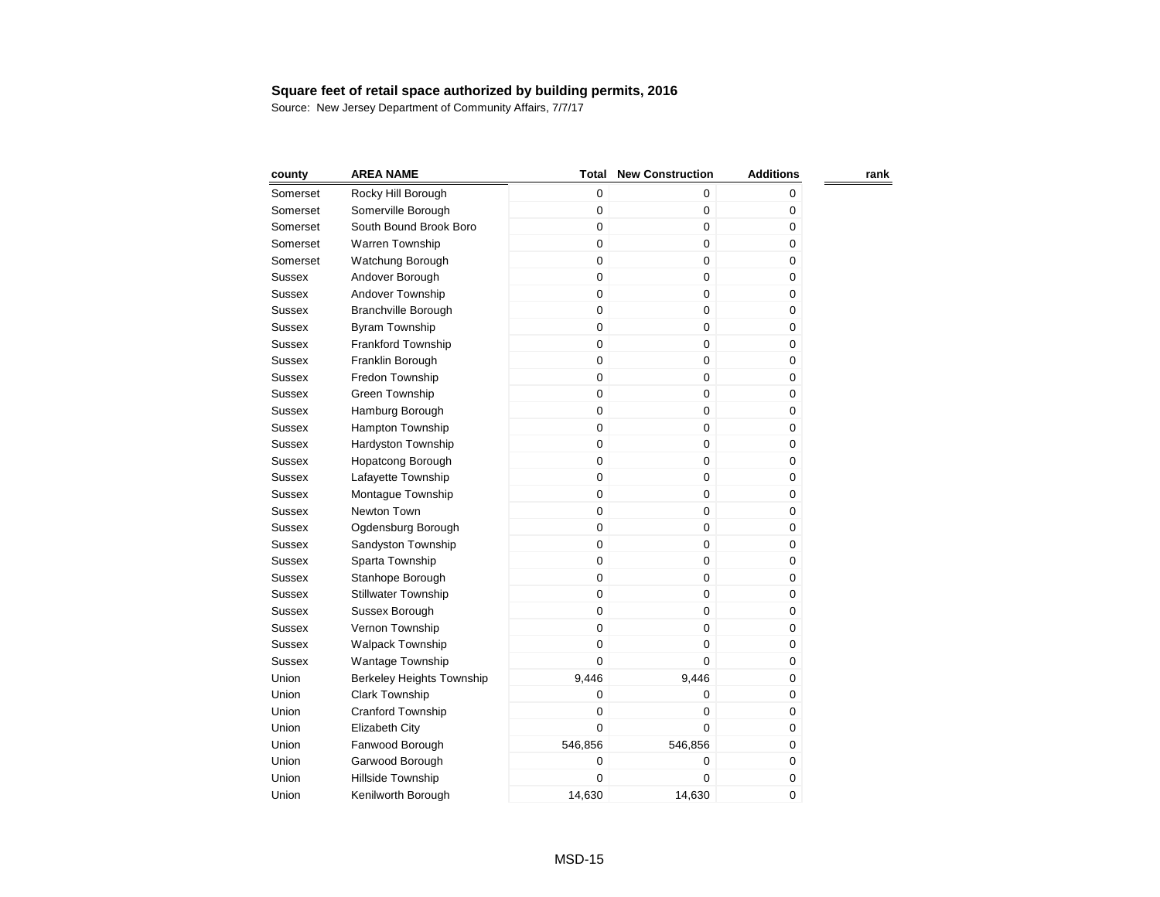| county        | <b>AREA NAME</b>           | Total       | <b>New Construction</b> | <b>Additions</b> | rank |
|---------------|----------------------------|-------------|-------------------------|------------------|------|
| Somerset      | Rocky Hill Borough         | $\mathbf 0$ | 0                       | 0                |      |
| Somerset      | Somerville Borough         | 0           | 0                       | 0                |      |
| Somerset      | South Bound Brook Boro     | 0           | 0                       | 0                |      |
| Somerset      | Warren Township            | 0           | 0                       | 0                |      |
| Somerset      | Watchung Borough           | $\mathbf 0$ | 0                       | 0                |      |
| <b>Sussex</b> | Andover Borough            | $\mathbf 0$ | 0                       | 0                |      |
| Sussex        | Andover Township           | $\mathbf 0$ | 0                       | 0                |      |
| <b>Sussex</b> | Branchville Borough        | $\mathsf 0$ | 0                       | 0                |      |
| <b>Sussex</b> | <b>Byram Township</b>      | $\mathbf 0$ | 0                       | 0                |      |
| <b>Sussex</b> | <b>Frankford Township</b>  | $\mathbf 0$ | 0                       | 0                |      |
| <b>Sussex</b> | Franklin Borough           | $\mathbf 0$ | 0                       | 0                |      |
| <b>Sussex</b> | Fredon Township            | $\mathsf 0$ | 0                       | 0                |      |
| <b>Sussex</b> | Green Township             | $\mathbf 0$ | 0                       | 0                |      |
| <b>Sussex</b> | Hamburg Borough            | $\mathbf 0$ | 0                       | 0                |      |
| <b>Sussex</b> | <b>Hampton Township</b>    | $\mathbf 0$ | 0                       | 0                |      |
| <b>Sussex</b> | Hardyston Township         | $\mathbf 0$ | 0                       | 0                |      |
| <b>Sussex</b> | Hopatcong Borough          | $\mathbf 0$ | 0                       | 0                |      |
| <b>Sussex</b> | Lafayette Township         | $\mathbf 0$ | $\overline{0}$          | 0                |      |
| <b>Sussex</b> | Montague Township          | 0           | 0                       | 0                |      |
| <b>Sussex</b> | Newton Town                | 0           | 0                       | 0                |      |
| <b>Sussex</b> | Ogdensburg Borough         | $\mathbf 0$ | $\overline{0}$          | 0                |      |
| <b>Sussex</b> | Sandyston Township         | 0           | 0                       | 0                |      |
| <b>Sussex</b> | Sparta Township            | $\mathbf 0$ | 0                       | 0                |      |
| <b>Sussex</b> | Stanhope Borough           | $\mathbf 0$ | 0                       | 0                |      |
| <b>Sussex</b> | <b>Stillwater Township</b> | $\mathbf 0$ | 0                       | 0                |      |
| <b>Sussex</b> | Sussex Borough             | 0           | 0                       | 0                |      |
| <b>Sussex</b> | Vernon Township            | 0           | 0                       | 0                |      |
| Sussex        | Walpack Township           | 0           | 0                       | 0                |      |
| Sussex        | <b>Wantage Township</b>    | $\mathbf 0$ | 0                       | 0                |      |
| Union         | Berkeley Heights Township  | 9,446       | 9,446                   | 0                |      |
| Union         | <b>Clark Township</b>      | 0           | 0                       | 0                |      |
| Union         | <b>Cranford Township</b>   | 0           | 0                       | 0                |      |
| Union         | Elizabeth City             | 0           | 0                       | 0                |      |
| Union         | Fanwood Borough            | 546,856     | 546,856                 | 0                |      |
| Union         | Garwood Borough            | 0           | 0                       | 0                |      |
| Union         | Hillside Township          | 0           | 0                       | 0                |      |
| Union         | Kenilworth Borough         | 14,630      | 14,630                  | 0                |      |